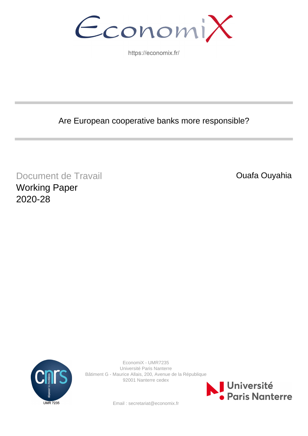EconomiX

https://economix.fr/

Are European cooperative banks more responsible?

Document de Travail Working Paper 2020-28

Ouafa Ouyahia



EconomiX - UMR7235 Université Paris Nanterre Bâtiment G - Maurice Allais, 200, Avenue de la République 92001 Nanterre cedex



Email : secretariat@economix.fr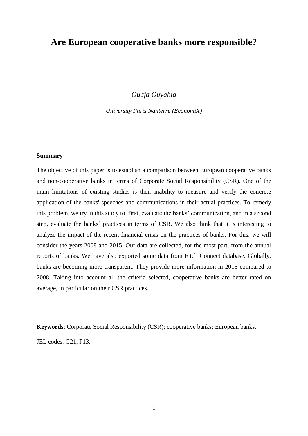# **Are European cooperative banks more responsible?**

*Ouafa Ouyahia*

*University Paris Nanterre (EconomiX)*

#### **Summary**

The objective of this paper is to establish a comparison between European cooperative banks and non-cooperative banks in terms of Corporate Social Responsibility (CSR). One of the main limitations of existing studies is their inability to measure and verify the concrete application of the banks' speeches and communications in their actual practices. To remedy this problem, we try in this study to, first, evaluate the banks' communication, and in a second step, evaluate the banks' practices in terms of CSR. We also think that it is interesting to analyze the impact of the recent financial crisis on the practices of banks. For this, we will consider the years 2008 and 2015. Our data are collected, for the most part, from the annual reports of banks. We have also exported some data from Fitch Connect database. Globally, banks are becoming more transparent. They provide more information in 2015 compared to 2008. Taking into account all the criteria selected, cooperative banks are better rated on average, in particular on their CSR practices.

**Keywords**: Corporate Social Responsibility (CSR); cooperative banks; European banks. JEL codes: G21, P13.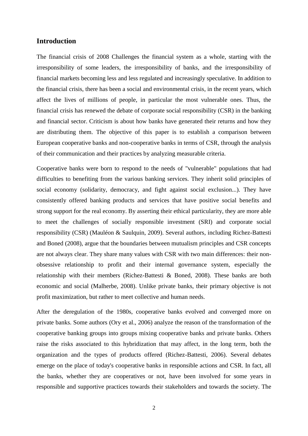## **Introduction**

The financial crisis of 2008 Challenges the financial system as a whole, starting with the irresponsibility of some leaders, the irresponsibility of banks, and the irresponsibility of financial markets becoming less and less regulated and increasingly speculative. In addition to the financial crisis, there has been a social and environmental crisis, in the recent years, which affect the lives of millions of people, in particular the most vulnerable ones. Thus, the financial crisis has renewed the debate of corporate social responsibility (CSR) in the banking and financial sector. Criticism is about how banks have generated their returns and how they are distributing them. The objective of this paper is to establish a comparison between European cooperative banks and non-cooperative banks in terms of CSR, through the analysis of their communication and their practices by analyzing measurable criteria.

Cooperative banks were born to respond to the needs of "vulnerable" populations that had difficulties to benefiting from the various banking services. They inherit solid principles of social economy (solidarity, democracy, and fight against social exclusion...). They have consistently offered banking products and services that have positive social benefits and strong support for the real economy. By asserting their ethical particularity, they are more able to meet the challenges of socially responsible investment (SRI) and corporate social responsibility (CSR) (Mauléon & Saulquin, 2009). Several authors, including Richez-Battesti and Boned (2008), argue that the boundaries between mutualism principles and CSR concepts are not always clear. They share many values with CSR with two main differences: their nonobsessive relationship to profit and their internal governance system, especially the relationship with their members (Richez-Battesti & Boned, 2008). These banks are both economic and social (Malherbe, 2008). Unlike private banks, their primary objective is not profit maximization, but rather to meet collective and human needs.

After the deregulation of the 1980s, cooperative banks evolved and converged more on private banks. Some authors (Ory et al., 2006) analyze the reason of the transformation of the cooperative banking groups into groups mixing cooperative banks and private banks. Others raise the risks associated to this hybridization that may affect, in the long term, both the organization and the types of products offered (Richez-Battesti, 2006). Several debates emerge on the place of today's cooperative banks in responsible actions and CSR. In fact, all the banks, whether they are cooperatives or not, have been involved for some years in responsible and supportive practices towards their stakeholders and towards the society. The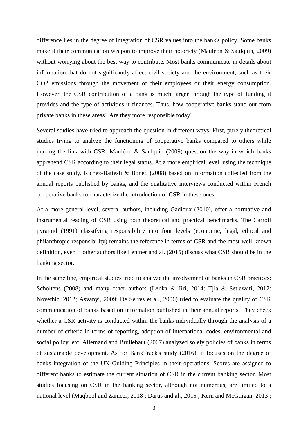difference lies in the degree of integration of CSR values into the bank's policy. Some banks make it their communication weapon to improve their notoriety (Mauléon & Saulquin, 2009) without worrying about the best way to contribute. Most banks communicate in details about information that do not significantly affect civil society and the environment, such as their CO2 emissions through the movement of their employees or their energy consumption. However, the CSR contribution of a bank is much larger through the type of funding it provides and the type of activities it finances. Thus, how cooperative banks stand out from private banks in these areas? Are they more responsible today?

Several studies have tried to approach the question in different ways. First, purely theoretical studies trying to analyze the functioning of cooperative banks compared to others while making the link with CSR: Mauléon & Saulquin (2009) question the way in which banks apprehend CSR according to their legal status. At a more empirical level, using the technique of the case study, Richez-Battesti & Boned (2008) based on information collected from the annual reports published by banks, and the qualitative interviews conducted within French cooperative banks to characterize the introduction of CSR in these ones.

At a more general level, several authors, including Gadioux (2010), offer a normative and instrumental reading of CSR using both theoretical and practical benchmarks. The Carroll pyramid (1991) classifying responsibility into four levels (economic, legal, ethical and philanthropic responsibility) remains the reference in terms of CSR and the most well-known definition, even if other authors like Lentner and al. (2015) discuss what CSR should be in the banking sector.

In the same line, empirical studies tried to analyze the involvement of banks in CSR practices: Scholtens (2008) and many other authors (Lenka & Jiří, 2014; Tjia & Setiawati, 2012; Novethic, 2012; Asvanyi, 2009; De Serres et al., 2006) tried to evaluate the quality of CSR communication of banks based on information published in their annual reports. They check whether a CSR activity is conducted within the banks individually through the analysis of a number of criteria in terms of reporting, adoption of international codes, environmental and social policy, etc. Allemand and Brullebaut (2007) analyzed solely policies of banks in terms of sustainable development. As for BankTrack's study (2016), it focuses on the degree of banks integration of the UN Guiding Principles in their operations. Scores are assigned to different banks to estimate the current situation of CSR in the current banking sector. Most studies focusing on CSR in the banking sector, although not numerous, are limited to a national level (Maqbool and Zameer, 2018 ; Darus and al., 2015 ; Kern and McGuigan, 2013 ;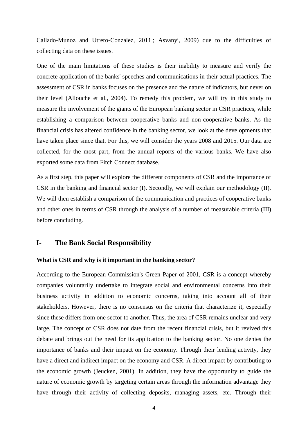Callado-Munoz and Utrero-Conzalez, 2011 ; Asvanyi, 2009) due to the difficulties of collecting data on these issues.

One of the main limitations of these studies is their inability to measure and verify the concrete application of the banks' speeches and communications in their actual practices. The assessment of CSR in banks focuses on the presence and the nature of indicators, but never on their level (Allouche et al., 2004). To remedy this problem, we will try in this study to measure the involvement of the giants of the European banking sector in CSR practices, while establishing a comparison between cooperative banks and non-cooperative banks. As the financial crisis has altered confidence in the banking sector, we look at the developments that have taken place since that. For this, we will consider the years 2008 and 2015. Our data are collected, for the most part, from the annual reports of the various banks. We have also exported some data from Fitch Connect database.

As a first step, this paper will explore the different components of CSR and the importance of CSR in the banking and financial sector (I). Secondly, we will explain our methodology (II). We will then establish a comparison of the communication and practices of cooperative banks and other ones in terms of CSR through the analysis of a number of measurable criteria (III) before concluding.

## **I- The Bank Social Responsibility**

#### **What is CSR and why is it important in the banking sector?**

According to the European Commission's Green Paper of 2001, CSR is a concept whereby companies voluntarily undertake to integrate social and environmental concerns into their business activity in addition to economic concerns, taking into account all of their stakeholders. However, there is no consensus on the criteria that characterize it, especially since these differs from one sector to another. Thus, the area of CSR remains unclear and very large. The concept of CSR does not date from the recent financial crisis, but it revived this debate and brings out the need for its application to the banking sector. No one denies the importance of banks and their impact on the economy. Through their lending activity, they have a direct and indirect impact on the economy and CSR. A direct impact by contributing to the economic growth (Jeucken, 2001). In addition, they have the opportunity to guide the nature of economic growth by targeting certain areas through the information advantage they have through their activity of collecting deposits, managing assets, etc. Through their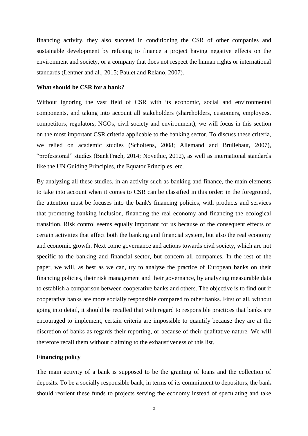financing activity, they also succeed in conditioning the CSR of other companies and sustainable development by refusing to finance a project having negative effects on the environment and society, or a company that does not respect the human rights or international standards (Lentner and al., 2015; Paulet and Relano, 2007).

#### **What should be CSR for a bank?**

Without ignoring the vast field of CSR with its economic, social and environmental components, and taking into account all stakeholders (shareholders, customers, employees, competitors, regulators, NGOs, civil society and environment), we will focus in this section on the most important CSR criteria applicable to the banking sector. To discuss these criteria, we relied on academic studies (Scholtens, 2008; Allemand and Brullebaut, 2007), "professional" studies (BankTrach, 2014; Novethic, 2012), as well as international standards like the UN Guiding Principles, the Equator Principles, etc.

By analyzing all these studies, in an activity such as banking and finance, the main elements to take into account when it comes to CSR can be classified in this order: in the foreground, the attention must be focuses into the bank's financing policies, with products and services that promoting banking inclusion, financing the real economy and financing the ecological transition. Risk control seems equally important for us because of the consequent effects of certain activities that affect both the banking and financial system, but also the real economy and economic growth. Next come governance and actions towards civil society, which are not specific to the banking and financial sector, but concern all companies. In the rest of the paper, we will, as best as we can, try to analyze the practice of European banks on their financing policies, their risk management and their governance, by analyzing measurable data to establish a comparison between cooperative banks and others. The objective is to find out if cooperative banks are more socially responsible compared to other banks. First of all, without going into detail, it should be recalled that with regard to responsible practices that banks are encouraged to implement, certain criteria are impossible to quantify because they are at the discretion of banks as regards their reporting, or because of their qualitative nature. We will therefore recall them without claiming to the exhaustiveness of this list.

#### **Financing policy**

The main activity of a bank is supposed to be the granting of loans and the collection of deposits. To be a socially responsible bank, in terms of its commitment to depositors, the bank should reorient these funds to projects serving the economy instead of speculating and take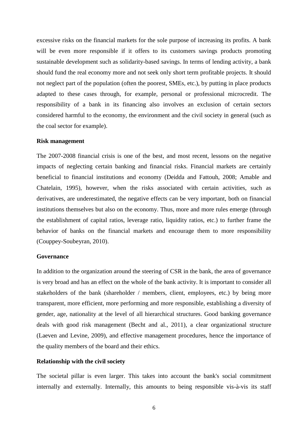excessive risks on the financial markets for the sole purpose of increasing its profits. A bank will be even more responsible if it offers to its customers savings products promoting sustainable development such as solidarity-based savings. In terms of lending activity, a bank should fund the real economy more and not seek only short term profitable projects. It should not neglect part of the population (often the poorest, SMEs, etc.), by putting in place products adapted to these cases through, for example, personal or professional microcredit. The responsibility of a bank in its financing also involves an exclusion of certain sectors considered harmful to the economy, the environment and the civil society in general (such as the coal sector for example).

#### **Risk management**

The 2007-2008 financial crisis is one of the best, and most recent, lessons on the negative impacts of neglecting certain banking and financial risks. Financial markets are certainly beneficial to financial institutions and economy (Deidda and Fattouh, 2008; Amable and Chatelain, 1995), however, when the risks associated with certain activities, such as derivatives, are underestimated, the negative effects can be very important, both on financial institutions themselves but also on the economy. Thus, more and more rules emerge (through the establishment of capital ratios, leverage ratio, liquidity ratios, etc.) to further frame the behavior of banks on the financial markets and encourage them to more responsibility (Couppey-Soubeyran, 2010).

#### **Governance**

In addition to the organization around the steering of CSR in the bank, the area of governance is very broad and has an effect on the whole of the bank activity. It is important to consider all stakeholders of the bank (shareholder / members, client, employees, etc.) by being more transparent, more efficient, more performing and more responsible, establishing a diversity of gender, age, nationality at the level of all hierarchical structures. Good banking governance deals with good risk management (Becht and al., 2011), a clear organizational structure (Laeven and Levine, 2009), and effective management procedures, hence the importance of the quality members of the board and their ethics.

#### **Relationship with the civil society**

The societal pillar is even larger. This takes into account the bank's social commitment internally and externally. Internally, this amounts to being responsible vis-à-vis its staff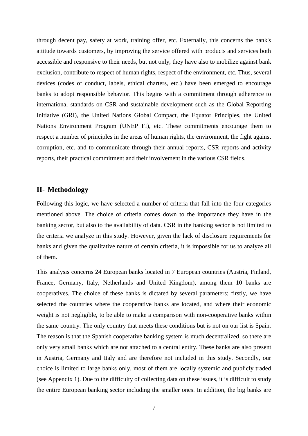through decent pay, safety at work, training offer, etc. Externally, this concerns the bank's attitude towards customers, by improving the service offered with products and services both accessible and responsive to their needs, but not only, they have also to mobilize against bank exclusion, contribute to respect of human rights, respect of the environment, etc. Thus, several devices (codes of conduct, labels, ethical charters, etc.) have been emerged to encourage banks to adopt responsible behavior. This begins with a commitment through adherence to international standards on CSR and sustainable development such as the Global Reporting Initiative (GRI), the United Nations Global Compact, the Equator Principles, the United Nations Environment Program (UNEP FI), etc. These commitments encourage them to respect a number of principles in the areas of human rights, the environment, the fight against corruption, etc. and to communicate through their annual reports, CSR reports and activity reports, their practical commitment and their involvement in the various CSR fields.

# **II- Methodology**

Following this logic, we have selected a number of criteria that fall into the four categories mentioned above. The choice of criteria comes down to the importance they have in the banking sector, but also to the availability of data. CSR in the banking sector is not limited to the criteria we analyze in this study. However, given the lack of disclosure requirements for banks and given the qualitative nature of certain criteria, it is impossible for us to analyze all of them.

This analysis concerns 24 European banks located in 7 European countries (Austria, Finland, France, Germany, Italy, Netherlands and United Kingdom), among them 10 banks are cooperatives. The choice of these banks is dictated by several parameters; firstly, we have selected the countries where the cooperative banks are located, and where their economic weight is not negligible, to be able to make a comparison with non-cooperative banks within the same country. The only country that meets these conditions but is not on our list is Spain. The reason is that the Spanish cooperative banking system is much decentralized, so there are only very small banks which are not attached to a central entity. These banks are also present in Austria, Germany and Italy and are therefore not included in this study. Secondly, our choice is limited to large banks only, most of them are locally systemic and publicly traded (see Appendix 1). Due to the difficulty of collecting data on these issues, it is difficult to study the entire European banking sector including the smaller ones. In addition, the big banks are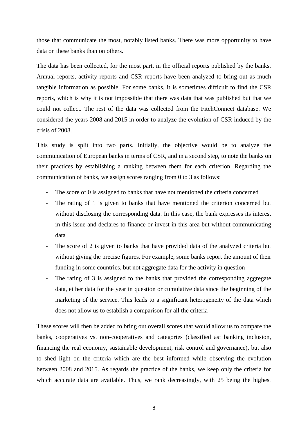those that communicate the most, notably listed banks. There was more opportunity to have data on these banks than on others.

The data has been collected, for the most part, in the official reports published by the banks. Annual reports, activity reports and CSR reports have been analyzed to bring out as much tangible information as possible. For some banks, it is sometimes difficult to find the CSR reports, which is why it is not impossible that there was data that was published but that we could not collect. The rest of the data was collected from the FitchConnect database. We considered the years 2008 and 2015 in order to analyze the evolution of CSR induced by the crisis of 2008.

This study is split into two parts. Initially, the objective would be to analyze the communication of European banks in terms of CSR, and in a second step, to note the banks on their practices by establishing a ranking between them for each criterion. Regarding the communication of banks, we assign scores ranging from 0 to 3 as follows:

- The score of 0 is assigned to banks that have not mentioned the criteria concerned
- The rating of 1 is given to banks that have mentioned the criterion concerned but without disclosing the corresponding data. In this case, the bank expresses its interest in this issue and declares to finance or invest in this area but without communicating data
- The score of 2 is given to banks that have provided data of the analyzed criteria but without giving the precise figures. For example, some banks report the amount of their funding in some countries, but not aggregate data for the activity in question
- The rating of 3 is assigned to the banks that provided the corresponding aggregate data, either data for the year in question or cumulative data since the beginning of the marketing of the service. This leads to a significant heterogeneity of the data which does not allow us to establish a comparison for all the criteria

These scores will then be added to bring out overall scores that would allow us to compare the banks, cooperatives vs. non-cooperatives and categories (classified as: banking inclusion, financing the real economy, sustainable development, risk control and governance), but also to shed light on the criteria which are the best informed while observing the evolution between 2008 and 2015. As regards the practice of the banks, we keep only the criteria for which accurate data are available. Thus, we rank decreasingly, with 25 being the highest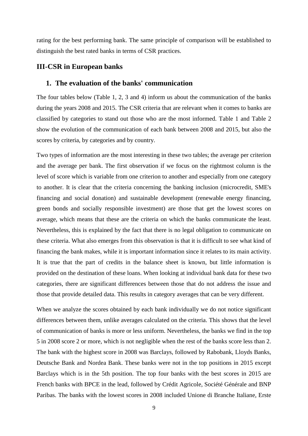rating for the best performing bank. The same principle of comparison will be established to distinguish the best rated banks in terms of CSR practices.

### **III-CSR in European banks**

## **1. The evaluation of the banks' communication**

The four tables below (Table 1, 2, 3 and 4) inform us about the communication of the banks during the years 2008 and 2015. The CSR criteria that are relevant when it comes to banks are classified by categories to stand out those who are the most informed. Table 1 and Table 2 show the evolution of the communication of each bank between 2008 and 2015, but also the scores by criteria, by categories and by country.

Two types of information are the most interesting in these two tables; the average per criterion and the average per bank. The first observation if we focus on the rightmost column is the level of score which is variable from one criterion to another and especially from one category to another. It is clear that the criteria concerning the banking inclusion (microcredit, SME's financing and social donation) and sustainable development (renewable energy financing, green bonds and socially responsible investment) are those that get the lowest scores on average, which means that these are the criteria on which the banks communicate the least. Nevertheless, this is explained by the fact that there is no legal obligation to communicate on these criteria. What also emerges from this observation is that it is difficult to see what kind of financing the bank makes, while it is important information since it relates to its main activity. It is true that the part of credits in the balance sheet is known, but little information is provided on the destination of these loans. When looking at individual bank data for these two categories, there are significant differences between those that do not address the issue and those that provide detailed data. This results in category averages that can be very different.

When we analyze the scores obtained by each bank individually we do not notice significant differences between them, unlike averages calculated on the criteria. This shows that the level of communication of banks is more or less uniform. Nevertheless, the banks we find in the top 5 in 2008 score 2 or more, which is not negligible when the rest of the banks score less than 2. The bank with the highest score in 2008 was Barclays, followed by Rabobank, Lloyds Banks, Deutsche Bank and Nordea Bank. These banks were not in the top positions in 2015 except Barclays which is in the 5th position. The top four banks with the best scores in 2015 are French banks with BPCE in the lead, followed by Crédit Agricole, Société Générale and BNP Paribas. The banks with the lowest scores in 2008 included Unione di Branche Italiane, Erste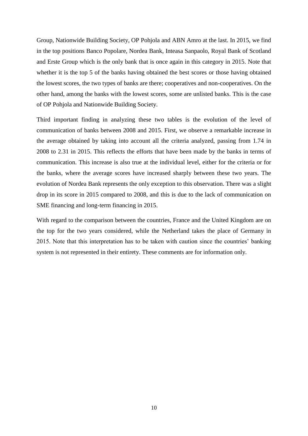Group, Nationwide Building Society, OP Pohjola and ABN Amro at the last. In 2015, we find in the top positions Banco Popolare, Nordea Bank, Inteasa Sanpaolo, Royal Bank of Scotland and Erste Group which is the only bank that is once again in this category in 2015. Note that whether it is the top 5 of the banks having obtained the best scores or those having obtained the lowest scores, the two types of banks are there; cooperatives and non-cooperatives. On the other hand, among the banks with the lowest scores, some are unlisted banks. This is the case of OP Pohjola and Nationwide Building Society.

Third important finding in analyzing these two tables is the evolution of the level of communication of banks between 2008 and 2015. First, we observe a remarkable increase in the average obtained by taking into account all the criteria analyzed, passing from 1.74 in 2008 to 2.31 in 2015. This reflects the efforts that have been made by the banks in terms of communication. This increase is also true at the individual level, either for the criteria or for the banks, where the average scores have increased sharply between these two years. The evolution of Nordea Bank represents the only exception to this observation. There was a slight drop in its score in 2015 compared to 2008, and this is due to the lack of communication on SME financing and long-term financing in 2015.

With regard to the comparison between the countries, France and the United Kingdom are on the top for the two years considered, while the Netherland takes the place of Germany in 2015. Note that this interpretation has to be taken with caution since the countries' banking system is not represented in their entirety. These comments are for information only.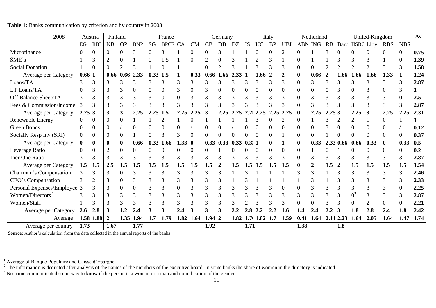| 2008                         |          | Austria    | Finland          |                |            |            | France         |             |           |          | Germany |      |                  |           | Italy     |                |              | Netherland |                  |                  |      | United-Kingdom              |            |                | Av   |
|------------------------------|----------|------------|------------------|----------------|------------|------------|----------------|-------------|-----------|----------|---------|------|------------------|-----------|-----------|----------------|--------------|------------|------------------|------------------|------|-----------------------------|------------|----------------|------|
|                              | EG       | <b>RBI</b> | NB               | <b>OP</b>      | <b>BNP</b> | SG         | <b>BPCE CA</b> |             | <b>CM</b> | CB       | DB      | DZ   | IS               | <b>UC</b> | <b>BP</b> | <b>UBI</b>     |              | ABN ING    | RB               |                  |      | Barc HSBC Lloy              | <b>RBS</b> | <b>NBS</b>     |      |
| Microfinance                 |          | $\theta$   |                  | $\overline{0}$ | 3          | $\Omega$   | 3              |             | 0         | $\Omega$ | 3       |      |                  | $\Omega$  | 0         | $\overline{2}$ | 0            |            | 3                |                  |      | $\Omega$                    | $\Omega$   | $\overline{0}$ | 0.75 |
| SME's                        |          |            |                  | $\Omega$       |            |            | .5             |             | 0         |          |         |      |                  |           |           |                |              |            |                  |                  |      | 3                           |            | $\Omega$       | 1.39 |
| <b>Social Donation</b>       |          |            |                  | ◠              |            |            |                |             |           |          | 2       |      |                  |           |           |                |              |            | $\overline{2}$   |                  | ◠    | $\mathcal{D}_{\mathcal{A}}$ |            | 3              | 1.58 |
| Average per Category         | 0.661    |            |                  | $0.66$ 0.66    | 2.33       | $0.33$ 1.5 |                |             | 0.33      | 0.66     | 1.66    | 2.33 |                  | 1.66      | 2         |                | 0            | 0.66       |                  | 1.66             | 1.66 | 1.66                        | 1.33       |                | 1.24 |
| Loans/TA                     |          |            |                  |                |            |            |                |             |           |          |         |      |                  |           |           |                |              |            |                  |                  |      |                             |            |                | 2.87 |
| LT Loans/TA                  |          |            |                  |                |            |            |                |             | 0         |          |         |      |                  |           |           |                |              |            | $\left( \right)$ |                  |      |                             |            |                |      |
| Off Balance Sheet/TA         |          |            |                  |                |            |            |                |             | 3         |          |         |      |                  |           |           |                |              |            |                  |                  |      |                             |            |                | 2.5  |
| Fees & Commission/Income     |          |            |                  |                |            |            |                |             |           |          |         |      |                  |           |           |                |              |            |                  |                  |      |                             |            |                | 2.87 |
| Average per Category         | 2.253    |            |                  | 3              | 2.25       | 2.25       | 1.5            | 2.25        | 2.25      |          | 2.25    | 2.25 | 2.2              | 2.25      | 2.25      | 2.25           | $\mathbf{0}$ | 2.25       | 2.25             | 3                | 2.25 | 3                           | 2.25       | 2.25           | 2.31 |
| Renewable Energy             |          |            |                  | $\Omega$       |            |            |                |             |           |          |         |      |                  |           |           |                |              |            |                  |                  |      |                             |            |                |      |
| Green Bonds                  |          |            |                  |                |            |            |                |             |           |          |         |      |                  |           |           |                |              |            |                  |                  |      |                             |            |                | 0.12 |
| Socially Resp Inv (SRI)      |          |            |                  | $\overline{0}$ |            |            |                | 3           | 0         |          |         |      |                  | 0         |           |                |              |            |                  |                  |      |                             |            | $\Omega$       | 0.37 |
| Average per Category         | $\bf{0}$ |            |                  | $\bf{0}$       | 0.66       | 0.33       | 1.66           | $1.33 \; 0$ |           | 0.33     | 0.33    | 0.33 | 0.3 <sub>1</sub> |           |           |                | 0            | 0.33       | 2.33             | 0.66             | 0.66 | 0.33                        |            | 0.33           | 0.5  |
| Leverage Ratio               |          | $\Omega$   |                  | $\theta$       |            |            |                |             |           |          |         |      |                  |           |           |                |              |            |                  |                  |      |                             |            | $\Omega$       | 0.2  |
| Tier One Ratio               |          |            |                  |                |            |            |                |             |           |          |         |      |                  |           |           |                |              |            |                  |                  |      |                             |            |                | 2.87 |
| Average per Category         | 1.5      | 1.5        | 2.5              | 1.5            | 1.5        | 1.5        |                | 1.5         | 1.5       | 1.5      | 2       | 1.5  | 1.5              | 1.5       | 1.5       | 1.5            | 0            |            | 1.5              | $\boldsymbol{2}$ | 1.5  | 1.5                         | 1.5        | 1.5            | 1.54 |
| Chairman's Compensation      |          |            |                  |                |            |            |                |             | 3         |          |         |      |                  |           |           |                |              |            |                  |                  |      |                             |            | 3              | 2.46 |
| CEO's Compensation           |          |            |                  |                |            |            |                |             | 3         |          |         |      |                  |           |           |                |              |            |                  |                  |      |                             |            | 3              | 2.33 |
| Personal Expenses/Employee 3 |          |            |                  | 0              |            |            |                | 0           | 3         | 3        | 3       | 3    |                  |           | 3         |                |              |            |                  |                  |      |                             |            | $\overline{0}$ | 2.25 |
| Women/Directors <sup>2</sup> |          |            |                  |                |            |            |                |             | 3         |          |         |      |                  |           |           |                |              |            |                  |                  |      |                             |            | 3              | 2.87 |
| Women/Staff                  |          |            |                  | 3              |            |            |                |             |           |          |         |      |                  |           |           |                |              |            |                  |                  |      |                             |            | $\Omega$       | 2.21 |
| Average per Category         | 2.6      | 2.8        | 3                | 1.2            | 2.4        |            |                | $2.4\,$     |           |          |         | 2.2  | 2.8              | 2.2       | 2.2       | 1.6            | 1.4          | 2.4        | .2               |                  | 1.8  | 2.8                         | 2.4        | 1.8            | 2.42 |
| Average                      |          | 1.58 1.88  | $\boldsymbol{2}$ | 1.35           | 1.94       | 1.7        | 1.79           | 1.82        | 1.64      | 1.94 2   |         | 1.82 |                  | 1.711.82  | 1.7       | 1.59           | 0.41         | 1.64       | 2.1              | 2.23             | 1.64 | 2.05                        | 1.64       | 1.47           | 1.74 |
| Average per country          | 1.73     |            | 1.67             |                | 1.77       |            |                |             |           | 1.92     |         |      | 1.71             |           |           |                | 1.38         |            |                  | 1.8              |      |                             |            |                |      |

**Table 1:** Banks communication by criterion and by country in 2008

 **Source:** Author's calculation from the data collected in the annual reports of the banks

 $\overline{a}$ 

<sup>&</sup>lt;sup>1</sup> Average of Banque Populaire and Caisse d'Epargne

 $2^2$  The information is deducted after analysis of the names of the members of the executive board. In some banks the share of women in the directory is indicated

 $3$  No name communicated so no way to know if the person is a woman or a man and no indication of the gender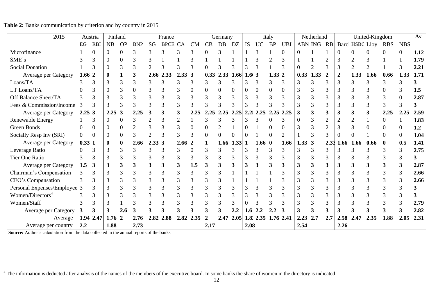| 2015                         |             | Austria      | Finland    |                  |            |                | France         |               |           |          | Germany        |          |                  |             | Italy     |                |                | Netherland    |             |                  |                | United-Kingdom |            |                | $A$ v |
|------------------------------|-------------|--------------|------------|------------------|------------|----------------|----------------|---------------|-----------|----------|----------------|----------|------------------|-------------|-----------|----------------|----------------|---------------|-------------|------------------|----------------|----------------|------------|----------------|-------|
|                              | $_{\rm EG}$ | <b>RBI</b>   | NB         | <b>OP</b>        | <b>BNP</b> | SG             | <b>BPCE CA</b> |               | <b>CM</b> | CB       | DB             | DZ       | <b>IS</b>        | UC          | <b>BP</b> | <b>UBI</b>     |                | ABN ING       | RB          |                  | Barc HSBC Lloy |                | <b>RBS</b> | <b>NBS</b>     |       |
| Microfinance                 |             | $\Omega$     | 0          | $\Omega$         | 3          | 3              | 3              | 3             | 3         | $\Omega$ | 3              |          |                  | 3           |           | $\Omega$       | $\overline{0}$ |               |             | $\Omega$         | ∩              |                | $\Omega$   | $\Omega$       | 1.12  |
| SME's                        |             |              | 0          | 0                | 3          | 3              |                |               | 3         |          |                |          |                  |             |           |                |                |               |             |                  |                | 3              |            |                | 1.79  |
| <b>Social Donation</b>       |             | 3            | 0          | 3                | 3          | $\overline{c}$ | 3              | $\mathcal{R}$ | 3         | 0        | 3              | 3        | 3                | 3           |           |                | $\Omega$       | $\mathcal{P}$ | 3           | 3                | $\overline{2}$ | $\overline{2}$ |            | 3              | 2.21  |
| Average per Category         | 1.66        | $\mathbf{2}$ | 0          |                  | 3          | 2.66           | 2.33           | 2.333         |           | 0.33     | 2.33           | 1.66     | 1.6(3)           |             | 1.33 2    |                | 0.33           | 1.33          | $\mathbf 2$ | $\boldsymbol{2}$ | 1.33           | 1.66           | 0.66       | 1.33           | 1.71  |
| Loans/TA                     | 3           |              | 3          | 3                | 3          |                |                |               | 3         | 3        | 3              | 3        |                  | 3           | 3         |                | 3              |               |             |                  |                | 3              | 3          | 3              |       |
| LT Loans/TA                  | $\theta$    |              | 0          |                  | 0          |                |                |               | $\theta$  | $\Omega$ | 0              | $\Omega$ |                  | $\Omega$    | 0         |                | 3              |               |             |                  |                |                |            | 3              | 1.5   |
| Off Balance Sheet/TA         | 3           |              | 3          |                  |            |                |                |               | 3         |          | 3              | 3        | 3                |             |           |                | 3              |               |             |                  |                |                | 3          | $\Omega$       | 2.87  |
| Fees & Commission/Income     | 3           |              |            |                  |            |                |                |               | 3         |          | 3              | 3        |                  |             |           |                | 3              |               |             |                  |                |                | 3          | 3              |       |
| Average per Category         | 2.253       |              | 2.25       | 3                | 2.25       | 3              |                |               | 2.25      | 2.25     | 2.25           | 2.25     | 2.2 <sub>1</sub> | 2.25        | 2.25      | 2.25           | 3              |               |             |                  |                |                | 2.25       | 2.25           | 2.59  |
| Renewable Energy             |             | 3            | 0          | $\Omega$         |            |                | 3              |               |           |          | 3              |          |                  |             |           |                | $\theta$       |               |             |                  |                |                | 0          |                | 1.83  |
| <b>Green Bonds</b>           | $\theta$    | $\Omega$     | 0          | 0                |            | 3              |                | 3             | $\Omega$  | 0        |                |          |                  |             | 0         |                | 3              |               | 2           |                  | 3              |                | 0          | $\theta$       | 1.2   |
| Socially Resp Inv (SRI)      | $\Omega$    | $\Omega$     | $\theta$   | $\boldsymbol{0}$ | 3          | $\overline{c}$ | $\mathcal{R}$  | 3             | 3         | $\theta$ | $\overline{0}$ | $\Omega$ | $\Omega$         |             | 0         | $\overline{2}$ |                |               | 3           |                  | $\Omega$       |                | $\Omega$   | $\mathbf{0}$   | 1.04  |
| Average per Category         | 0.331       |              | 0          | $\bf{0}$         | 2.66       | 2.33 3         |                | 2.662         |           |          | 1.66           | 1.33     |                  | $1.66 \; 0$ |           | 1.66           | $1.33 \, 3$    |               | 2.33        | .66              | 1.66           | 0.66           |            | 0.5            | 1.41  |
| Leverage Ratio               | $\Omega$    | 3            | 3          | 3                |            |                |                |               | $\Omega$  | 3        | 3              |          |                  |             |           |                |                |               |             |                  |                |                |            | 3              | 2.75  |
| <b>Tier One Ratio</b>        |             |              | 3          | 3                |            |                |                |               | 3         |          | 3              |          |                  |             |           |                | 3              |               |             |                  |                |                |            | 3              |       |
| Average per Category         | 1.5         |              | 3          |                  | 3          |                |                | 3             | 1.5       | 3        | 3              | 3        | 3                |             | 3         |                | 3              |               | 3           |                  |                |                |            | 3              | 2.87  |
| Chairman's Compensation      |             |              | 3          |                  | 3          |                |                | 3             | 3         | 3        | 3              |          |                  |             |           |                | 3              |               | 3           |                  |                | 3              | 3          | 3              | 2.66  |
| CEO's Compensation           | 3           | 3            | 3          | 3                | 3          |                |                | 3             | 3         | 3        | 3              |          |                  |             |           |                | 3              |               | 3           |                  |                | 3              |            | $\overline{3}$ | 2.66  |
| Personal Expenses/Employee   | 3           |              |            | 3                | 3          | 3              | 3              | 3             | 3         | 3        | 3              | 3        | 3                | 3           | 3         |                | 3              |               | 3           |                  |                | 3              | 3          | 3              |       |
| Women/Directors <sup>4</sup> | 3           |              | 3          | 3                | 3          |                |                |               | 3         | 3        | 3              | 3        | 3                | 3           |           |                | 3              |               | 3           |                  |                | 3              |            | 3              |       |
| Women/Staff                  | 3           |              | 3          |                  | 3          |                |                |               | 3         | 3        | $\overline{3}$ | 3        |                  | 3           |           |                | 3              |               | 3           |                  | 3              | 3              |            | 3              | 2.79  |
| Average per Category         | 3           |              |            | 2.6              |            |                |                |               | 3         |          | 3              | 2.2      | 1.6              | 2.2         |           |                | 3              |               |             |                  |                |                |            | 3              | 2.82  |
| Average                      |             | 1.94 2.47    | $1.76 \t2$ |                  | 2.76       | 2.82           | 2.88           | 2.82          | 2.35      |          | 2.47           | 2.05     |                  | 1.8: 2.35   | 1.76      | 2.41           | 2.23           | 2.7           | 2.7         | 2.58             |                | 2.35           | 1.88       | 2.05           | 2.31  |
| Average per country          | 2.2         |              | 1.88       |                  | 2.73       |                |                |               |           | 2.17     |                |          | 2.08             |             |           |                | 2.54           |               |             | 2.26             |                |                |            |                |       |

**Table 2:** Banks communication by criterion and by country in 2015

 **Source:** Author's calculation from the data collected in the annual reports of the banks

 $4$  The information is deducted after analysis of the names of the members of the executive board. In some banks the share of women in the directory is indicated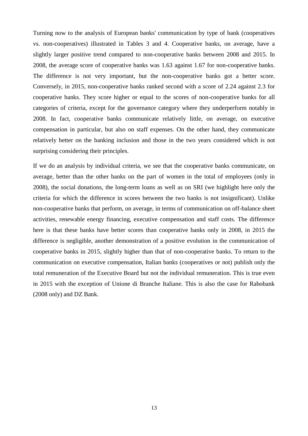Turning now to the analysis of European banks' communication by type of bank (cooperatives vs. non-cooperatives) illustrated in Tables 3 and 4. Cooperative banks, on average, have a slightly larger positive trend compared to non-cooperative banks between 2008 and 2015. In 2008, the average score of cooperative banks was 1.63 against 1.67 for non-cooperative banks. The difference is not very important, but the non-cooperative banks got a better score. Conversely, in 2015, non-cooperative banks ranked second with a score of 2.24 against 2.3 for cooperative banks. They score higher or equal to the scores of non-cooperative banks for all categories of criteria, except for the governance category where they underperform notably in 2008. In fact, cooperative banks communicate relatively little, on average, on executive compensation in particular, but also on staff expenses. On the other hand, they communicate relatively better on the banking inclusion and those in the two years considered which is not surprising considering their principles.

If we do an analysis by individual criteria, we see that the cooperative banks communicate, on average, better than the other banks on the part of women in the total of employees (only in 2008), the social donations, the long-term loans as well as on SRI (we highlight here only the criteria for which the difference in scores between the two banks is not insignificant). Unlike non-cooperative banks that perform, on average, in terms of communication on off-balance sheet activities, renewable energy financing, executive compensation and staff costs. The difference here is that these banks have better scores than cooperative banks only in 2008, in 2015 the difference is negligible, another demonstration of a positive evolution in the communication of cooperative banks in 2015, slightly higher than that of non-cooperative banks. To return to the communication on executive compensation, Italian banks (cooperatives or not) publish only the total remuneration of the Executive Board but not the individual remuneration. This is true even in 2015 with the exception of Unione di Branche Italiane. This is also the case for Rabobank (2008 only) and DZ Bank.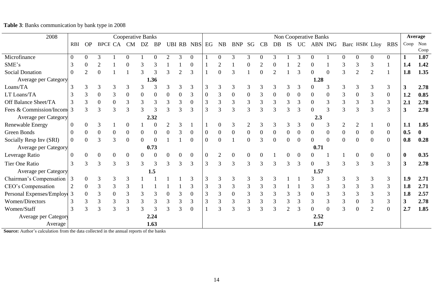| 2008                      |                   |                |                |                  | <b>Cooperative Banks</b> |                  |                |                |                  |                  |                |           |                  |          |                |               |                |               | Non Cooperative Banks |                  |                  |                  |                |                  |              | Average      |
|---------------------------|-------------------|----------------|----------------|------------------|--------------------------|------------------|----------------|----------------|------------------|------------------|----------------|-----------|------------------|----------|----------------|---------------|----------------|---------------|-----------------------|------------------|------------------|------------------|----------------|------------------|--------------|--------------|
|                           | <b>RBI</b>        | <b>OP</b>      |                | <b>BPCE CA</b>   | <b>CM</b>                | DZ               | <b>BP</b>      |                |                  | UBI RB NBS       | EG             | <b>NB</b> | <b>BNP</b>       | SG       | CB             | DB            | IS             | <b>UC</b>     | ABN ING               |                  |                  |                  | Barc HSBC Lloy | <b>RBS</b>       | Coop         | Non          |
|                           |                   |                |                |                  |                          |                  |                |                |                  |                  |                |           |                  |          |                |               |                |               |                       |                  |                  |                  |                |                  |              | Coop         |
| Microfinance              | $\Omega$          | $\overline{0}$ | 3              |                  |                          |                  | $\bigcap$      |                | 3                | $\overline{0}$   |                |           | 3                | 3        | $\Omega$       | 3             |                | $\mathcal{R}$ |                       |                  | 0                |                  | $\mathbf{0}$   | $\boldsymbol{0}$ |              | 1.07         |
| SME's                     | 3                 | 0              | $\overline{2}$ |                  |                          |                  |                |                |                  |                  |                |           |                  |          | $\overline{2}$ |               |                |               |                       |                  |                  | 3                | 3              |                  | 1.4          | 1.42         |
| <b>Social Donation</b>    | $\Omega$          | 2              | $\overline{0}$ |                  |                          |                  |                |                |                  | 3                |                |           |                  |          |                |               |                |               |                       | $\bigcap$        | 3                |                  | $\overline{2}$ |                  | 1.8          | 1.35         |
| Average per Category      |                   |                |                |                  |                          |                  | 1.36           |                |                  |                  |                |           |                  |          |                |               |                |               | 1.28                  |                  |                  |                  |                |                  |              |              |
| Loans/TA                  |                   | 3              | 3              | 3                | 3                        | 3                | 3              |                | $\overline{3}$   | 3                | 3              |           | 3                | 3        | 3              | 3             | 3              | 3             |                       | 3                | 3                | 3                | 3              | 3                | $\mathbf{3}$ | 2.78         |
| LT Loans/TA               |                   | 3              | $\overline{0}$ | 3                | $\overline{0}$           | $\boldsymbol{0}$ | $\theta$       | $\theta$       | $\boldsymbol{0}$ | 3                | $\theta$       | 3         | $\boldsymbol{0}$ | $\theta$ | 3              | $\Omega$      | $\Omega$       | $\theta$      | $\overline{0}$        | $\boldsymbol{0}$ | 3                | $\boldsymbol{0}$ | 3              | $\boldsymbol{0}$ | 1.2          | 0.85         |
| Off Balance Sheet/TA      |                   | 3              | $\mathbf{0}$   | $\boldsymbol{0}$ | 3                        | 3                | 3              | 3              | 3                | $\boldsymbol{0}$ | 3              | 3         | $\mathfrak{Z}$   | 3        | 3              | 3             | 3              | 3             | $\overline{0}$        | 3                | 3                | 3                | 3              | 3                | 2.1          | 2.78         |
| Fees & Commission/Incom   | 3                 | 3              | 3              | 3                | 3                        | 3                | 3              | 3              | $\overline{3}$   | 3                | 3              | 3         | 3                | 3        | 3              | $\mathcal{R}$ | $\mathcal{R}$  | 3             | $\Omega$              | 3                | 3                | 3                | 3              | 3                | 3            | 2.78         |
| Average per Category      |                   |                |                |                  |                          |                  | 2.32           |                |                  |                  |                |           |                  |          |                |               |                |               | 2.3                   |                  |                  |                  |                |                  |              |              |
| <b>Renewable Energy</b>   | $\theta$          | 0              |                |                  |                          |                  |                |                | 3                |                  |                |           | 3                |          | 3              | 3             | 3              | 3             |                       | 3                | $\overline{2}$   | 2                |                | $\overline{0}$   | 1.1          | 1.85         |
| Green Bonds               | $\mathbf{0}$      | 0              | $\overline{0}$ | $\theta$         | $\overline{0}$           | $\overline{0}$   | $\overline{0}$ |                | 3                | $\boldsymbol{0}$ | $\overline{0}$ |           | $\boldsymbol{0}$ | $\theta$ | $\theta$       |               | $\overline{0}$ |               | $\overline{0}$        | $\overline{0}$   | $\boldsymbol{0}$ | $\overline{0}$   | $\overline{0}$ | $\overline{0}$   | 0.5          | $\mathbf{0}$ |
| Socially Resp Inv (SRI)   | $\overline{0}$    | $\Omega$       | $\mathbf{3}$   | 3                |                          |                  | $\Omega$       |                |                  | 0                | $\overline{0}$ |           |                  |          | 3              |               | $\Omega$       | ∩             | $\Omega$              | $\theta$         | $\overline{0}$   | $\Omega$         | $\Omega$       | $\overline{0}$   | 0.8          | 0.28         |
| Average per Category      |                   |                |                |                  |                          |                  | 0.73           |                |                  |                  |                |           |                  |          |                |               |                |               | 0.71                  |                  |                  |                  |                |                  |              |              |
| Leverage Ratio            | $\mathbf{\Omega}$ | $\Omega$       | $\Omega$       | $\Omega$         | $\Omega$                 | $\theta$         | $\Omega$       |                | 0                | $\overline{0}$   | $\theta$       | ◠         | $\overline{0}$   |          |                |               | 0              |               |                       |                  |                  |                  | $\overline{0}$ | $\overline{0}$   | $\bf{0}$     | 0.35         |
| <b>Tier One Ratio</b>     | 3                 | 3              | $\mathcal{R}$  | $\mathcal{R}$    | 3                        | 3                | 3              |                | 3                | 3                | 3              | 3         | 3                |          | 3              |               | 3              | 3             |                       | 3                | 3                | 3                | 3              | 3                | 3            | 2.78         |
| Average per Category      |                   |                |                |                  |                          |                  | 1.5            |                |                  |                  |                |           |                  |          |                |               |                |               | 1.57                  |                  |                  |                  |                |                  |              |              |
| Chairman's Compensation   | 3                 | $\theta$       | 3              | 3                | 3                        |                  |                |                |                  | 3                | 3              |           | 3                | 3        | 3              |               |                |               |                       | 3                | 3                | 3                | 3              | 3                | 1.9          | 2.71         |
| CEO's Compensation        |                   | $\theta$       | 3              | 3                | 3                        |                  |                |                |                  | 3                | 3              | 3         | 3                | 3        | 3              |               |                |               | 3                     | 3                | 3                | 3                | 3              | 3                | 1.8          | 2.71         |
| Personal Expenses/Employe | 3                 | $\Omega$       | 3              | $\overline{0}$   | 3                        | 3                | 3              | $\overline{0}$ | 3                | $\boldsymbol{0}$ | 3              | 3         | $\boldsymbol{0}$ | 3        | 3              | 3             | 3              | 3             | $\overline{0}$        | 3                | 3                | 3                | 3              | 3                | 1.8          | 2.57         |
| Women/Directors           | 3                 | 3              | 3              | 3                | 3                        | 3                | 3              | 3              | 3                | 3                | 3              | 3         | 3                | 3        | 3              | 3             | 3              | 3             | 3                     | 3                | 3                | $\overline{0}$   | 3              | 3                | $\mathbf{3}$ | 2.78         |
| Women/Staff               | 3                 | 3              | 3              | 3                | 3                        | 3                |                | 3              | 3                | $\overline{0}$   |                | 3         | 3                | 3        | 3              |               | ◠              |               |                       | $\Omega$         | 3                |                  | $\overline{2}$ | $\mathbf{0}$     | 2.7          | 1.85         |
| Average per Category      |                   |                |                |                  |                          |                  | 2.24           |                |                  |                  |                |           |                  |          |                |               |                |               | 2.52                  |                  |                  |                  |                |                  |              |              |
| Average                   |                   |                |                |                  |                          |                  | 1.63           |                |                  |                  |                |           |                  |          |                |               |                |               | 1.67                  |                  |                  |                  |                |                  |              |              |

# **Table 3**: Banks communication by bank type in 2008

**Source:** Author's calculation from the data collected in the annual reports of the banks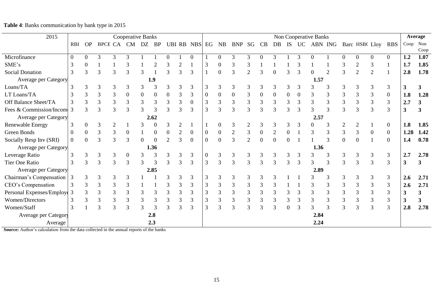| 2015                      |                |               |                |                | <b>Cooperative Banks</b> |                |                |          |        |                |                  |           |                  |    |                  |                  |                  |           | Non Cooperative Banks |               |   |                |              |                  |              | <b>Average</b> |
|---------------------------|----------------|---------------|----------------|----------------|--------------------------|----------------|----------------|----------|--------|----------------|------------------|-----------|------------------|----|------------------|------------------|------------------|-----------|-----------------------|---------------|---|----------------|--------------|------------------|--------------|----------------|
|                           | <b>RBI</b>     | <b>OP</b>     | <b>BPCE CA</b> |                | <b>CM</b>                | DZ             | <b>BP</b>      |          | UBI RB | <b>NBS</b>     | EG               | <b>NB</b> | <b>BNP</b>       | SG | CB               | DB               | IS               | <b>UC</b> | ABN ING               |               |   | Barc HSBC Lloy |              | <b>RBS</b>       | Coop         | Non<br>Coop    |
| Microfinance              | $\Omega$       | $\theta$      |                | 3              | 3                        |                |                |          |        | $\Omega$       |                  |           | 3                |    |                  | 3                |                  | 3         |                       |               |   |                | $\theta$     | $\Omega$         | 1.2          | 1.07           |
| SME's                     | 3              | 0             |                |                |                          |                |                |          |        |                | 3                |           | 3                |    |                  |                  |                  |           |                       |               |   |                | 3            |                  | 1.7          | 1.85           |
| <b>Social Donation</b>    | 3              | 3             |                | 3              |                          |                |                |          | 3      | 3              |                  | $\Omega$  | 3                |    |                  |                  |                  |           |                       |               |   |                | ◠            |                  | 2.8          | 1.78           |
| Average per Category      |                |               |                |                |                          |                | 1.9            |          |        |                |                  |           |                  |    |                  |                  |                  |           | 1.57                  |               |   |                |              |                  |              |                |
| Loans/TA                  | 3              | 3             |                | 3              | 3                        | 3              |                | 3        | 3      | 3              | 3                | 3         | 3                | 3  | 3                | 3                | 3                | З         |                       | 3             | 3 |                | 3            | 3                | 3            |                |
| LT Loans/TA               | 3              | 3             |                | 3              | $\mathbf{0}$             | 0              | $\overline{0}$ | $\Omega$ | 3      | 3              | $\boldsymbol{0}$ |           | $\boldsymbol{0}$ | 3  | $\boldsymbol{0}$ | $\boldsymbol{0}$ | $\boldsymbol{0}$ | $_{0}$    | 3                     | 3             | 3 |                | 3            | $\boldsymbol{0}$ | 1.8          | 1.28           |
| Off Balance Sheet/TA      |                | 3             | 3              | 3              | 3                        | $\mathfrak{Z}$ | 3              | 3        | 3      | $\overline{0}$ | 3                | 3         | $\mathfrak{Z}$   | 3  | $\mathfrak{Z}$   | 3                | 3                | 3         | 3                     | 3             | 3 |                | 3            | 3                | 2.7          |                |
| Fees & Commission/Incom   | 3              | $\mathcal{R}$ |                | 3              | 3                        | 3              |                | 3        | 3      | 3              | 3                | 3         | 3                | 3  | 3                | 3                | $\mathcal{R}$    | 3         | 3                     | 3             | 3 | 3              | 3            | 3                | 3            |                |
| Average per Category      |                |               |                |                |                          |                | 2.62           |          |        |                |                  |           |                  |    |                  |                  |                  |           | 2.57                  |               |   |                |              |                  |              |                |
| <b>Renewable Energy</b>   | 3              | 0             |                |                |                          |                |                |          |        |                |                  |           | 3                |    | 3                | 3                |                  |           |                       | 3             |   |                |              | $\mathbf{0}$     | 1.8          | 1.85           |
| Green Bonds               | $\overline{0}$ | $\mathbf{0}$  |                | 3              |                          |                | $\overline{0}$ | 0        |        | $\overline{0}$ | $\overline{0}$   |           | $\overline{2}$   |    |                  | $\overline{2}$   |                  |           | 3                     | 3             | 3 |                | $\mathbf{0}$ | $\overline{0}$   | 1.28         | 1.42           |
| Socially Resp Inv (SRI)   | $\Omega$       | 0             |                | 3              |                          |                |                |          |        | 0              | $\overline{0}$   |           | 3                |    |                  |                  |                  |           |                       | $\mathcal{R}$ |   |                |              | $\theta$         | 1.4          | 0.78           |
| Average per Category      |                |               |                |                |                          |                | 1.36           |          |        |                |                  |           |                  |    |                  |                  |                  |           | 1.36                  |               |   |                |              |                  |              |                |
| Leverage Ratio            | 3              | 3             |                | 3              | $\overline{0}$           | 3              |                |          |        | 3              | $\overline{0}$   |           | 3                |    | 3                | 3                |                  | 3         |                       | 3             |   |                | 3            | 3                | 2.7          | 2.78           |
| Tier One Ratio            | 3              | 3             | 3              | 3              | 3                        | 3              |                |          | 3      | 3              | 3                | 3         | 3                | 3  | 3                | 3                | 3                | 3         |                       |               | 3 | 3              | 3            | 3                | $\mathbf{3}$ | 3              |
| Average per Category      |                |               |                |                |                          |                | 2.85           |          |        |                |                  |           |                  |    |                  |                  |                  |           | 2.89                  |               |   |                |              |                  |              |                |
| Chairman's Compensation   |                | 3             |                | 3              | 3                        |                |                |          |        | 3              | 3                |           | 3                |    | 3                | 3                |                  |           |                       | 3             | 3 |                | 3            | 3                | 2.6          | 2.71           |
| CEO's Compensation        |                | 3             | 3              | 3              | 3                        |                |                | 3        | 3      | 3              | 3                | 3         | 3                | 3  | 3                | 3                |                  |           | 3                     | 3             | 3 |                | 3            | 3                | 2.6          | 2.71           |
| Personal Expenses/Employe | 3              | 3             | 3              | $\mathfrak{Z}$ | 3                        | 3              |                | 3        | 3      | 3              | 3                | 3         | $\mathfrak{Z}$   | 3  | $\mathfrak{Z}$   | 3                | 3                | 3         | 3                     | 3             | 3 |                | 3            | 3                | 3            | 3              |
| <b>Women/Directors</b>    | 3              | 3             |                | 3              | 3                        | 3              | 3              | 3        | 3      | 3              | 3                | 3         | $\mathfrak{Z}$   | 3  | 3                | 3                | 3                | 3         | $\mathfrak{Z}$        | 3             |   |                | 3            | $\mathfrak{Z}$   | 3            |                |
| Women/Staff               | 3              |               | 3              | 3              |                          |                |                | 3        | 3      | 3              | 3                | 3         | 3                | 3  | 3                | 3                | $\Omega$         |           |                       | 3             | 3 | 3              | 3            | 3                | 2.8          | 2.78           |
| Average per Category      |                |               |                |                |                          |                | 2.8            |          |        |                |                  |           |                  |    |                  |                  |                  |           | 2.84                  |               |   |                |              |                  |              |                |
| Average                   |                |               |                |                |                          |                | 2.3            |          |        |                |                  |           |                  |    |                  |                  |                  |           | 2.24                  |               |   |                |              |                  |              |                |

# **Table 4**: Banks communication by bank type in 2015

**Source:** Author's calculation from the data collected in the annual reports of the banks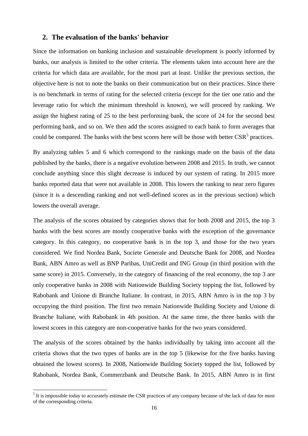# **2. The evaluation of the banks' behavior**

Since the information on banking inclusion and sustainable development is poorly informed by banks, our analysis is limited to the other criteria. The elements taken into account here are the criteria for which data are available, for the most part at least. Unlike the previous section, the objective here is not to note the banks on their communication but on their practices. Since there is no benchmark in terms of rating for the selected criteria (except for the tier one ratio and the leverage ratio for which the minimum threshold is known), we will proceed by ranking. We assign the highest rating of 25 to the best performing bank, the score of 24 for the second best performing bank, and so on. We then add the scores assigned to each bank to form averages that could be compared. The banks with the best scores here will be those with better  $\text{CSR}^5$  practices.

By analyzing tables 5 and 6 which correspond to the rankings made on the basis of the data published by the banks, there is a negative evolution between 2008 and 2015. In truth, we cannot conclude anything since this slight decrease is induced by our system of rating. In 2015 more banks reported data that were not available in 2008. This lowers the ranking to near zero figures (since it is a descending ranking and not well-defined scores as in the previous section) which lowers the overall average.

The analysis of the scores obtained by categories shows that for both 2008 and 2015, the top 3 banks with the best scores are mostly cooperative banks with the exception of the governance category. In this category, no cooperative bank is in the top 3, and those for the two years considered. We find Nordea Bank, Societe Generale and Deutsche Bank for 2008, and Nordea Bank, ABN Amro as well as BNP Paribas, UniCredit and ING Group (in third position with the same score) in 2015. Conversely, in the category of financing of the real economy, the top 3 are only cooperative banks in 2008 with Nationwide Building Society topping the list, followed by Rabobank and Unione di Branche Italiane. In contrast, in 2015, ABN Amro is in the top 3 by occupying the third position. The first two remain Nationwide Building Society and Unione di Branche Italiane, with Rabobank in 4th position. At the same time, the three banks with the lowest scores in this category are non-cooperative banks for the two years considered.

The analysis of the scores obtained by the banks individually by taking into account all the criteria shows that the two types of banks are in the top 5 (likewise for the five banks having obtained the lowest scores). In 2008, Nationwide Building Society topped the list, followed by Rabobank, Nordea Bank, Commerzbank and Deutsche Bank. In 2015, ABN Amro is in first

<sup>&</sup>lt;sup>5</sup> It is impossible today to accurately estimate the CSR practices of any company because of the lack of data for most of the corresponding criteria.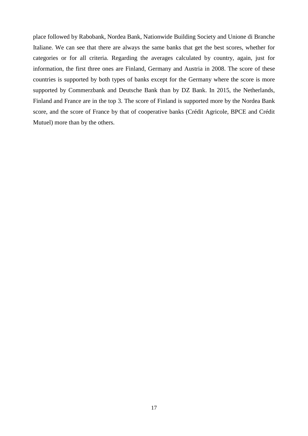place followed by Rabobank, Nordea Bank, Nationwide Building Society and Unione di Branche Italiane. We can see that there are always the same banks that get the best scores, whether for categories or for all criteria. Regarding the averages calculated by country, again, just for information, the first three ones are Finland, Germany and Austria in 2008. The score of these countries is supported by both types of banks except for the Germany where the score is more supported by Commerzbank and Deutsche Bank than by DZ Bank. In 2015, the Netherlands, Finland and France are in the top 3. The score of Finland is supported more by the Nordea Bank score, and the score of France by that of cooperative banks (Crédit Agricole, BPCE and Crédit Mutuel) more than by the others.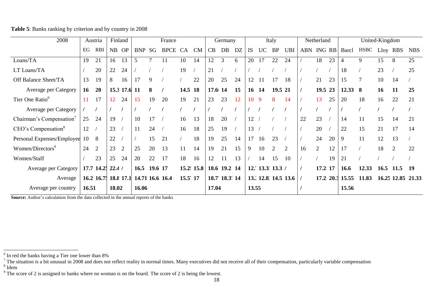| 2008                                 |       | Austria                              |       | Finland        |            |         | France      |           |            |              | Germany        |    |           |                   | Italy     |                     |            | Netherland     |    |                 | United-Kingdom |      |             |            |
|--------------------------------------|-------|--------------------------------------|-------|----------------|------------|---------|-------------|-----------|------------|--------------|----------------|----|-----------|-------------------|-----------|---------------------|------------|----------------|----|-----------------|----------------|------|-------------|------------|
|                                      | EG    | <b>RBI</b>                           |       | NB OP          | <b>BNP</b> | SG      | <b>BPCE</b> | <b>CA</b> | <b>CM</b>  | CB           | DB             | DZ | <b>IS</b> | <b>UC</b>         | <b>BP</b> | <b>UBI</b>          | ABN ING RB |                |    | Barcl           | <b>HSBC</b>    | Lloy | <b>RBS</b>  | <b>NBS</b> |
| Loans/TA                             | 19    | 21                                   | 16    | 13             | 5          |         |             | 10        | 14         | 12           | 3              | 6  | 20        | 17                | 22        | 24                  |            | 18             | 23 | $\overline{4}$  | 9              | 15   | 8           | 25         |
| LT Loans/TA                          |       | 20                                   | 22    | 24             |            |         |             | 19        |            | 21           |                |    |           |                   |           |                     |            |                |    | 18              |                | 23   |             | 25         |
| Off Balance Sheet/TA                 | 13    | 19                                   | 8     | 16             | 17         | 9       |             |           | 22         | 20           | 25             | 24 | 12        |                   | 17        | 18                  |            | 21             | 23 | 15              | $\overline{7}$ | 10   | 14          |            |
| <b>Average per Category</b>          | 16    | 20                                   |       | 15.3 17.6 11   |            | 8       |             | 14.5 18   |            | $17.6 \, 14$ |                | 15 |           | 16 14             | 19.5 21   |                     |            | 19.5 23        |    | 12.33           | 8              | 16   | 11          | 25         |
| Tier One Ratio <sup>6</sup>          | 11    | 17                                   | 12    | 24             | 15         | 19      | 20          | 19        | 21         | 23           | 23             | 12 | 10        | 9                 | 8         | 14                  |            | 13             | 25 | 20              | 18             | 16   | 22          | 21         |
| Average per Category                 |       |                                      |       |                |            |         |             |           |            |              |                |    |           |                   |           |                     |            |                |    |                 |                |      |             |            |
| Chairman's Compensation <sup>7</sup> | 25    | 24                                   | 19    |                | 10         | 17      |             | 16        | 13         | 18           | 20             |    | 12        |                   |           |                     | 22         | 23             |    | 14              | 11             | 15   | 14          | 21         |
| CEO's Compensation <sup>8</sup>      | 12    |                                      | 23    |                | 11         | 24      |             | 16        | 18         | 25           | 19             |    | 13        |                   |           |                     |            | 20             |    | 22              | 15             | 21   | 17          | 14         |
| Personal Expenses/Employee           | 10    | 8                                    | 22    |                |            | 15      | 21          |           | 18         | 19           | 25             | 14 | 17        | 16                | 23        |                     |            | 24             | 20 | 9               | 11             | 12   | 13          |            |
| Women/Directors <sup>9</sup>         | 24    | $\overline{2}$                       | 23    | $\overline{2}$ | 25         | 20      | 13          | 11        | 14         | 19           | 21             | 15 | 9         | 10                | 2         | $\overline{2}$      | 16         | $\overline{2}$ | 12 | 17              |                | 18   | 2           | 22         |
| Women/Staff                          |       | 23                                   | 25    | 24             | 20         | 22      | 17          | 18        | 16         | 12           | 11             | 13 |           | 14                | 15        | 10                  |            |                | 19 | 21              |                |      |             |            |
| Average per Category                 |       | 17.7 14.25 22.4 /                    |       |                | 16.5       | 19.6 17 |             |           | 15.2: 15.8 |              | 18.6 19.2 14   |    |           | 12.' 13.3' 13.3 / |           |                     |            | 17.2 17        |    | 16.6            | 12.33          | 16.5 | 11.5        | -19        |
| Average                              |       | 16.2 16.7; 18.8 17.1 14.71 16.6 16.4 |       |                |            |         |             | 15.5' 17  |            |              | 18.7' 18.3' 14 |    |           |                   |           | 13. 12.8. 14.5 13.6 |            |                |    | 17.2 20.3 15.55 | 11.83          |      | 16.25 12.85 | 21.33      |
| Average per country                  | 16.51 |                                      | 18.02 |                | 16.06      |         |             |           |            | 17.04        |                |    | 13.55     |                   |           |                     |            |                |    | 15.56           |                |      |             |            |

**Table 5**: Banks ranking by criterion and by country in 2008

**Source:** Author's calculation from the data collected in the annual reports of the banks

 6 In red the banks having a Tier one lower than 8%

 $^7$  The situation is a bit unusual in 2008 and does not reflect reality in normal times. Many executives did not receive all of their compensation, particularly variable compensation 8 Idem

 $9$  The score of 2 is assigned to banks where no woman is on the board. The score of 2 is being the lowest.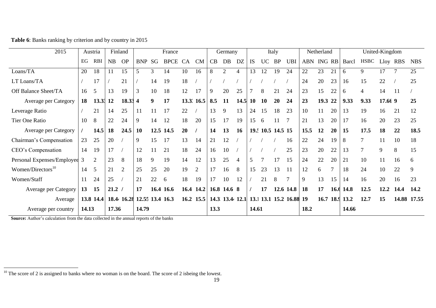| 2015                          |       | Austria        |        | Finland        |                 |    | France      |    |                |      | Germany        |                |           |           | Italy             |                         |            | Netherland |        |                | United-Kingdom |         |               |            |
|-------------------------------|-------|----------------|--------|----------------|-----------------|----|-------------|----|----------------|------|----------------|----------------|-----------|-----------|-------------------|-------------------------|------------|------------|--------|----------------|----------------|---------|---------------|------------|
|                               | EG    | <b>RBI</b>     | NB     | <b>OP</b>      | <b>BNP</b>      | SG | <b>BPCE</b> | CA | <b>CM</b>      | CB   | DB             | DZ             | <b>IS</b> | <b>UC</b> | <b>BP</b>         | <b>UBI</b>              | ABN ING RB |            |        | Barcl          | <b>HSBC</b>    |         | Lloy RBS      | <b>NBS</b> |
| Loans/TA                      | 20    | 18             | 11     | 15             | 5               | 3  | 14          | 10 | 16             | 8    | 2              | $\overline{4}$ | 13        | 12        | 19                | 24                      | 22         | 23         | 21     | 6              | 9              | 17      |               | 25         |
| LT Loans/TA                   |       | 17             |        | 21             |                 | 14 | 19          | 18 |                |      |                |                |           |           |                   |                         | 24         | 20         | 23     | 16             | 15             | 22      |               | 25         |
| Off Balance Sheet/TA          | 16    | 5              | 13     | 19             | 3               | 10 | 18          | 12 | 17             | 9    | 20             | 25             |           | 8         | 21                | 24                      | 23         | 15         | 22     | 6              | $\overline{4}$ | 14      | <sup>11</sup> |            |
| Average per Category          | 18    | 13.33 12       |        | 18.33 4        |                 | 9  | 17          |    | 13.3. 16.5     | 8.5  | 11             | 14.5           | 10        | <b>10</b> | 20                | 24                      | 23         | 19.3 22    |        | 9.33           | 9.33           | 17.66 9 |               | 25         |
| Leverage Ratio                |       | 21             | 14     | 25             | 11              | 11 | 17          | 22 |                | 13   | 9              | 13             | 24        | 15        | 18                | 23                      | 10         | 11         | 20     | 13             | 19             | 16      | 21            | 12         |
| Tier One Ratio                | 10    | 8              | 22     | 24             | 9               | 14 | 12          | 18 | 20             | 15   | 17             | 19             | 15        | 6         | 11                | 7                       | 21         | 13         | 20     | 17             | 16             | 20      | 23            | 25         |
| Average per Category          |       | 14.5           | 18     | 24.5           | 10              |    | 12.5 14.5   | 20 |                | 14   | 13             | 16             |           |           | 19.: 10.5 14.5 15 |                         | 15.5       | 12         | 20     | 15             | 17.5           | 18      | 22            | 18.5       |
| Chairman's Compensation       | 23    | 25             | 20     |                | 9               | 15 | 17          | 13 | 14             | 21   | 12             |                |           |           |                   | 16                      | 22         | 24         | 19     | 8              | $\tau$         | 11      | 10            | 18         |
| CEO's Compensation            | 14    | 19             | 17     |                | 12              | 11 | 21          | 18 | 24             | 16   | 10             |                |           |           |                   | 25                      | 23         | 20         | 22     | 13             | $\overline{7}$ | 9       | 8             | 15         |
| Personal Expenses/Employee 3  |       | $\overline{2}$ | 23     | 8              | 18              | 9  | 19          | 14 | 12             | 13   | 25             | $\overline{4}$ | 5         |           | 17                | 15                      | 24         | 22         | 20     | 21             | 10             | 11      | 16            | 6          |
| Women/Directors <sup>10</sup> | 14    | 5              | 21     | $\overline{2}$ | 25              | 25 | 20          | 19 | $\overline{2}$ | 17   | 16             | 8              | 15        | 23        | 13                | 11                      | 12         | 6          | $\tau$ | 18             | 24             | 10      | 22            | 9          |
| Women/Staff                   | 11    | 24             | 25     |                | 21              | 22 | 6           | 18 | 19             | 17   | 10             | 12             |           | 21        | 8                 | $\overline{7}$          | 9          | 13         | 15     | 14             | 16             | 20      | 16            | 23         |
| Average per Category          | 13    | 15             | 21.2 / |                | 17              |    | 16.4 16.6   |    | 16.4 14.2      |      | 16.8 14.6 8    |                |           | 17        |                   | 12.6 14.8               | 18         | 17         | 16.6   | 14.8           | 12.5           | 12.2    | 14.4          | 14.2       |
| Average                       |       | 13.8 14.4      |        | 18.4 16.28     | 12.55 13.4 16.3 |    |             |    | 16.2 15.5      |      | 14.3 13.4 12.1 |                |           |           |                   | 13.1 13.1 15.2 16.88 19 |            |            |        | 16.7 18.9 13.2 | 12.7           | 15      | 14.88         | 17.55      |
| Average per country           | 14.13 |                | 17.36  |                | 14.79           |    |             |    |                | 13.3 |                |                | 14.61     |           |                   |                         | 18.2       |            |        | 14.66          |                |         |               |            |

**Table 6**: Banks ranking by criterion and by country in 2015

**Source:** Author's calculation from the data collected in the annual reports of the banks

 $10$  The score of 2 is assigned to banks where no woman is on the board. The score of 2 isbeing the lowest.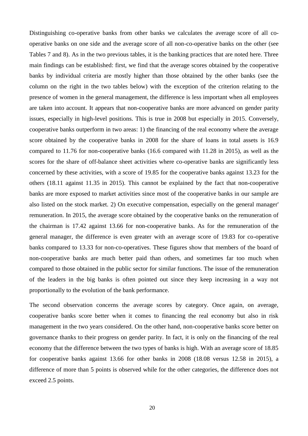Distinguishing co-operative banks from other banks we calculates the average score of all cooperative banks on one side and the average score of all non-co-operative banks on the other (see Tables 7 and 8). As in the two previous tables, it is the banking practices that are noted here. Three main findings can be established: first, we find that the average scores obtained by the cooperative banks by individual criteria are mostly higher than those obtained by the other banks (see the column on the right in the two tables below) with the exception of the criterion relating to the presence of women in the general management, the difference is less important when all employees are taken into account. It appears that non-cooperative banks are more advanced on gender parity issues, especially in high-level positions. This is true in 2008 but especially in 2015. Conversely, cooperative banks outperform in two areas: 1) the financing of the real economy where the average score obtained by the cooperative banks in 2008 for the share of loans in total assets is 16.9 compared to 11.76 for non-cooperative banks (16.6 compared with 11.28 in 2015), as well as the scores for the share of off-balance sheet activities where co-operative banks are significantly less concerned by these activities, with a score of 19.85 for the cooperative banks against 13.23 for the others (18.11 against 11.35 in 2015). This cannot be explained by the fact that non-cooperative banks are more exposed to market activities since most of the cooperative banks in our sample are also listed on the stock market. 2) On executive compensation, especially on the general manager' remuneration. In 2015, the average score obtained by the cooperative banks on the remuneration of the chairman is 17.42 against 13.66 for non-cooperative banks. As for the remuneration of the general manager, the difference is even greater with an average score of 19.83 for co-operative banks compared to 13.33 for non-co-operatives. These figures show that members of the board of non-cooperative banks are much better paid than others, and sometimes far too much when compared to those obtained in the public sector for similar functions. The issue of the remuneration of the leaders in the big banks is often pointed out since they keep increasing in a way not proportionally to the evolution of the bank performance.

The second observation concerns the average scores by category. Once again, on average, cooperative banks score better when it comes to financing the real economy but also in risk management in the two years considered. On the other hand, non-cooperative banks score better on governance thanks to their progress on gender parity. In fact, it is only on the financing of the real economy that the difference between the two types of banks is high. With an average score of 18.85 for cooperative banks against 13.66 for other banks in 2008 (18.08 versus 12.58 in 2015), a difference of more than 5 points is observed while for the other categories, the difference does not exceed 2.5 points.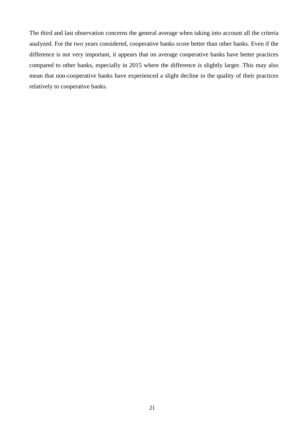The third and last observation concerns the general average when taking into account all the criteria analyzed. For the two years considered, cooperative banks score better than other banks. Even if the difference is not very important, it appears that on average cooperative banks have better practices compared to other banks, especially in 2015 where the difference is slightly larger. This may also mean that non-cooperative banks have experienced a slight decline in the quality of their practices relatively to cooperative banks.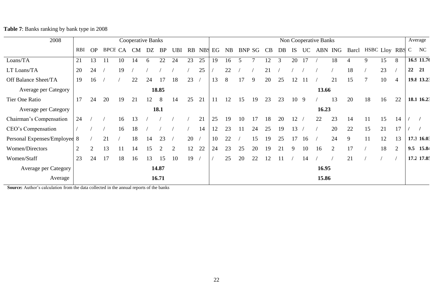**Table 7**: Banks ranking by bank type in 2008

| 2008                         |                |                |    |         | <b>Cooperative Banks</b> |    |           |            |    |           |    |    |     |        |    |    |    |     | Non Cooperative Banks |               |                       |    |    |    | Average      |
|------------------------------|----------------|----------------|----|---------|--------------------------|----|-----------|------------|----|-----------|----|----|-----|--------|----|----|----|-----|-----------------------|---------------|-----------------------|----|----|----|--------------|
|                              | <b>RBI</b>     | <b>OP</b>      |    | BPCE CA | <b>CM</b>                | DZ | <b>BP</b> | <b>UBI</b> |    | RB NBS EG |    | NB |     | BNP SG | CB | DB | IS | UC  |                       | ABN ING       | Barcl HSBC Lloy RBS C |    |    |    | NC           |
| Loans/TA                     | 21             | 13             | 11 | 10      | 14                       | 6  | 22        | 24         | 23 | 25        | 19 | 16 |     |        | 12 | 3  | 20 |     |                       | 18            |                       | 9  | 15 | 8  | 16.9 11.76   |
| LT Loans/TA                  | 20             | 24             |    | 19      |                          |    |           |            |    | 25        |    | 22 |     |        | 21 |    |    |     |                       |               | 18                    |    | 23 |    | 22<br>21     |
| Off Balance Sheet/TA         | 19             | 16             |    |         | 22                       | 24 | 17        | 18         | 23 |           | 13 | 8  | 17  | 9      | 20 | 25 | 12 |     |                       | 21            | 15                    |    | 10 | 4  | 19.8 13.23   |
| Average per Category         |                |                |    |         |                          |    | 18.85     |            |    |           |    |    |     |        |    |    |    |     | 13.66                 |               |                       |    |    |    |              |
| Tier One Ratio               | 17             | 24             | 20 | 19      | 21                       | 12 | 8         | 14         | 25 | 21        | 11 | 12 | 15  | 19     | 23 | 23 | 10 | - 9 |                       | 13            | 20                    | 18 | 16 | 22 | 18.1 16.23   |
| Average per Category         |                |                |    |         |                          |    | 18.1      |            |    |           |    |    |     |        |    |    |    |     | 16.23                 |               |                       |    |    |    |              |
| Chairman's Compensation      | 24             |                |    | 16      | 13                       |    |           |            |    | 21        | 25 | 19 | 10  | 17     | 18 | 20 | 12 |     | 22                    | 23            | 14                    | 11 | 15 | 14 |              |
| CEO's Compensation           |                |                |    | 16      | 18                       |    |           |            |    | 14        | 12 | 23 | -11 | 24     | 25 | 19 | 13 |     |                       | 20            | 22                    | 15 | 21 | 17 |              |
| Personal Expenses/Employee 8 |                |                | 21 |         | 18                       | 14 | 23        |            | 20 |           | 10 | 22 |     | 15     | 19 | 25 | 17 | 16  |                       | 24            | 9                     | 11 | 12 | 13 | 17.3 16.03   |
| Women/Directors              | $\overline{2}$ | $\overline{2}$ | 13 | 11      | 14                       | 15 | 2         | 2          | 12 | 22        | 24 | 23 | 25  | 20     | 19 | 21 | 9  | 10  | 16                    | $\mathcal{D}$ | 17                    |    | 18 | 2  | 15.84<br>9.5 |
| Women/Staff                  | 23             | 24             | 17 | 18      | 16                       | 13 | 15        | 10         | 19 |           |    | 25 | 20  | 22     | 12 | 11 |    | 14  |                       |               | 21                    |    |    |    | 17.2 17.8.   |
| Average per Category         |                |                |    |         |                          |    | 14.87     |            |    |           |    |    |     |        |    |    |    |     | 16.95                 |               |                       |    |    |    |              |
| Average                      |                |                |    |         |                          |    | 16.71     |            |    |           |    |    |     |        |    |    |    |     | 15.86                 |               |                       |    |    |    |              |

**Source:** Author's calculation from the data collected in the annual reports of the banks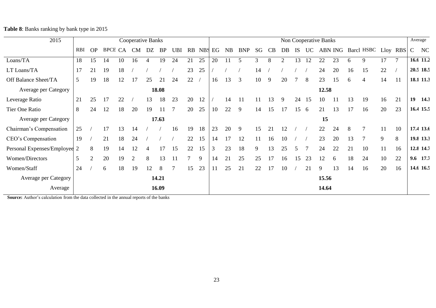**Table 8**: Banks ranking by bank type in 2015

| 2015                         |                |           |         |    | Cooperative Banks |                |           |                |        |            |    |           |            |    |    |    |           |    | Non Cooperative Banks |         |    |            |    |          |               | Average   |
|------------------------------|----------------|-----------|---------|----|-------------------|----------------|-----------|----------------|--------|------------|----|-----------|------------|----|----|----|-----------|----|-----------------------|---------|----|------------|----|----------|---------------|-----------|
|                              | <b>RBI</b>     | <b>OP</b> | BPCE CA |    | <b>CM</b>         | DZ             | <b>BP</b> | <b>UBI</b>     | RB     | <b>NBS</b> | EG | <b>NB</b> | <b>BNP</b> | SG | CB | DB | <b>IS</b> | UC |                       | ABN ING |    | Barcl HSBC |    | Lloy RBS | $\mathcal{C}$ | NC        |
| Loans/TA                     | 18             | 15        | 14      | 10 | 16                | 4              | 19        | 24             | 21     | 25         | 20 | 11        |            | 3  | 8  |    | 13        | 12 | 22                    | 23      | 6  | 9          | 17 | $\tau$   |               | 16.6 11.2 |
| LT Loans/TA                  | 17             | 21        | 19      | 18 |                   |                |           |                | 23     | 25         |    |           |            | 14 |    |    |           |    | 24                    | 20      | 16 | 15         | 22 |          |               | 20.5 18.5 |
| Off Balance Sheet/TA         | $\overline{5}$ | 19        | 18      | 12 | 17                | 25             | 21        | 24             | 22     |            | 16 | 13        | 3          | 10 | 9  | 20 |           | 8  | 23                    | 15      | 6  | 4          | 14 | 11       |               | 18.1 11.3 |
| Average per Category         |                |           |         |    |                   |                | 18.08     |                |        |            |    |           |            |    |    |    |           |    | 12.58                 |         |    |            |    |          |               |           |
| Leverage Ratio               | 21             | 25        | 17      | 22 |                   | 13             | 18        | 23             | 20     | 12         |    | 14        | 11         | 11 | 13 | 9  | 24        | 15 | 10                    | 11      | 13 | 19         | 16 | 21       | 19            | 14.3      |
| Tier One Ratio               | 8              | 24        | 12      | 18 | 20                | 19             | 11        | $\overline{7}$ | 20     | 25         | 10 | 22        | 9          | 14 | 15 | 17 | 15        | 6  | 21                    | 13      | 17 | 16         | 20 | 23       |               | 16.4 15.5 |
| Average per Category         |                |           |         |    |                   |                | 17.63     |                |        |            |    |           |            |    |    |    |           |    | 15                    |         |    |            |    |          |               |           |
| Chairman's Compensation      | 25             |           | 17      | 13 | 14                |                |           | 16             | 19     | 18         | 23 | 20        | 9          | 15 | 21 |    |           |    | 22                    | 24      | 8  | -7         | 11 | 10       |               | 17.4 13.6 |
| CEO's Compensation           | 19             |           | 21      | 18 | 24                |                |           |                | 22     | 15         | 14 | 17        | 12         | 11 | 16 | 10 |           |    | 23                    | 20      | 13 |            | 9  | 8        |               | 19.8 13.3 |
| Personal Expenses/Employee 2 |                | 8         | 19      | 14 | 12                | $\overline{4}$ | 17        | 15             | 22     | 15         | 3  | 23        | 18         | 9  | 13 | 25 | 5         |    | 24                    | 22      | 21 | 10         | 11 | 16       |               | 12.8 14.7 |
| Women/Directors              | $\overline{5}$ | 2         | 20      | 19 | 2                 | 8              | 13        | 11             | $\tau$ | 9          | 14 | 21        | 25         | 25 | 17 | 16 | 15        | 23 | 12                    | 6       | 18 | 24         | 10 | 22       |               | 9.6 17.7  |
| Women/Staff                  | 24             |           | 6       | 18 | 19                | 12             | 8         | 7              | 15     | 23         | 11 | 25        | 21         | 22 | 17 | 10 |           | 21 | 9                     | 13      | 14 | 16         | 20 | 16       |               | 14.6 16.5 |
| Average per Category         |                |           |         |    |                   |                | 14.21     |                |        |            |    |           |            |    |    |    |           |    | 15.56                 |         |    |            |    |          |               |           |
| Average                      |                |           |         |    |                   |                | 16.09     |                |        |            |    |           |            |    |    |    |           |    | 14.64                 |         |    |            |    |          |               |           |

**Source:** Author's calculation from the data collected in the annual reports of the banks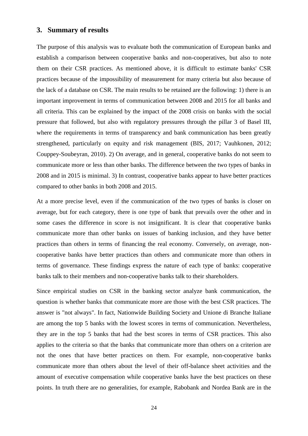## **3. Summary of results**

The purpose of this analysis was to evaluate both the communication of European banks and establish a comparison between cooperative banks and non-cooperatives, but also to note them on their CSR practices. As mentioned above, it is difficult to estimate banks' CSR practices because of the impossibility of measurement for many criteria but also because of the lack of a database on CSR. The main results to be retained are the following: 1) there is an important improvement in terms of communication between 2008 and 2015 for all banks and all criteria. This can be explained by the impact of the 2008 crisis on banks with the social pressure that followed, but also with regulatory pressures through the pillar 3 of Basel III, where the requirements in terms of transparency and bank communication has been greatly strengthened, particularly on equity and risk management (BIS, 2017; Vauhkonen, 2012; Couppey-Soubeyran, 2010). 2) On average, and in general, cooperative banks do not seem to communicate more or less than other banks. The difference between the two types of banks in 2008 and in 2015 is minimal. 3) In contrast, cooperative banks appear to have better practices compared to other banks in both 2008 and 2015.

At a more precise level, even if the communication of the two types of banks is closer on average, but for each category, there is one type of bank that prevails over the other and in some cases the difference in score is not insignificant. It is clear that cooperative banks communicate more than other banks on issues of banking inclusion, and they have better practices than others in terms of financing the real economy. Conversely, on average, noncooperative banks have better practices than others and communicate more than others in terms of governance. These findings express the nature of each type of banks: cooperative banks talk to their members and non-cooperative banks talk to their shareholders.

Since empirical studies on CSR in the banking sector analyze bank communication, the question is whether banks that communicate more are those with the best CSR practices. The answer is "not always". In fact, Nationwide Building Society and Unione di Branche Italiane are among the top 5 banks with the lowest scores in terms of communication. Nevertheless, they are in the top 5 banks that had the best scores in terms of CSR practices. This also applies to the criteria so that the banks that communicate more than others on a criterion are not the ones that have better practices on them. For example, non-cooperative banks communicate more than others about the level of their off-balance sheet activities and the amount of executive compensation while cooperative banks have the best practices on these points. In truth there are no generalities, for example, Rabobank and Nordea Bank are in the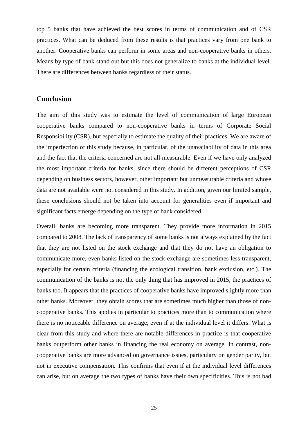top 5 banks that have achieved the best scores in terms of communication and of CSR practices. What can be deduced from these results is that practices vary from one bank to another. Cooperative banks can perform in some areas and non-cooperative banks in others. Means by type of bank stand out but this does not generalize to banks at the individual level. There are differences between banks regardless of their status.

## **Conclusion**

The aim of this study was to estimate the level of communication of large European cooperative banks compared to non-cooperative banks in terms of Corporate Social Responsibility (CSR), but especially to estimate the quality of their practices. We are aware of the imperfection of this study because, in particular, of the unavailability of data in this area and the fact that the criteria concerned are not all measurable. Even if we have only analyzed the most important criteria for banks, since there should be different perceptions of CSR depending on business sectors, however, other important but unmeasurable criteria and whose data are not available were not considered in this study. In addition, given our limited sample, these conclusions should not be taken into account for generalities even if important and significant facts emerge depending on the type of bank considered.

Overall, banks are becoming more transparent. They provide more information in 2015 compared to 2008. The lack of transparency of some banks is not always explained by the fact that they are not listed on the stock exchange and that they do not have an obligation to communicate more, even banks listed on the stock exchange are sometimes less transparent, especially for certain criteria (financing the ecological transition, bank exclusion, etc.). The communication of the banks is not the only thing that has improved in 2015, the practices of banks too. It appears that the practices of cooperative banks have improved slightly more than other banks. Moreover, they obtain scores that are sometimes much higher than those of noncooperative banks. This applies in particular to practices more than to communication where there is no noticeable difference on average, even if at the individual level it differs. What is clear from this study and where there are notable differences in practice is that cooperative banks outperform other banks in financing the real economy on average. In contrast, noncooperative banks are more advanced on governance issues, particulary on gender parity, but not in executive compensation. This confirms that even if at the individual level differences can arise, but on average the two types of banks have their own specificities. This is not bad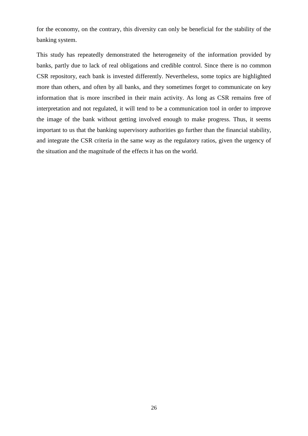for the economy, on the contrary, this diversity can only be beneficial for the stability of the banking system.

This study has repeatedly demonstrated the heterogeneity of the information provided by banks, partly due to lack of real obligations and credible control. Since there is no common CSR repository, each bank is invested differently. Nevertheless, some topics are highlighted more than others, and often by all banks, and they sometimes forget to communicate on key information that is more inscribed in their main activity. As long as CSR remains free of interpretation and not regulated, it will tend to be a communication tool in order to improve the image of the bank without getting involved enough to make progress. Thus, it seems important to us that the banking supervisory authorities go further than the financial stability, and integrate the CSR criteria in the same way as the regulatory ratios, given the urgency of the situation and the magnitude of the effects it has on the world.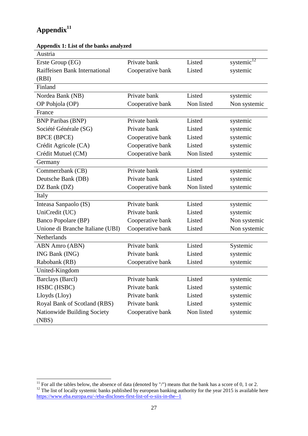# **Appendix<sup>11</sup>**

1

| Austria                          |                  |            |               |
|----------------------------------|------------------|------------|---------------|
| Erste Group (EG)                 | Private bank     | Listed     | systemic $12$ |
| Raiffeisen Bank International    | Cooperative bank | Listed     | systemic      |
| (RBI)                            |                  |            |               |
| Finland                          |                  |            |               |
| Nordea Bank (NB)                 | Private bank     | Listed     | systemic      |
| OP Pohjola (OP)                  | Cooperative bank | Non listed | Non systemic  |
| France                           |                  |            |               |
| <b>BNP Paribas (BNP)</b>         | Private bank     | Listed     | systemic      |
| Société Générale (SG)            | Private bank     | Listed     | systemic      |
| <b>BPCE (BPCE)</b>               | Cooperative bank | Listed     | systemic      |
| Crédit Agricole (CA)             | Cooperative bank | Listed     | systemic      |
| Crédit Mutuel (CM)               | Cooperative bank | Non listed | systemic      |
| Germany                          |                  |            |               |
| Commerzbank (CB)                 | Private bank     | Listed     | systemic      |
| Deutsche Bank (DB)               | Private bank     | Listed     | systemic      |
| DZ Bank (DZ)                     | Cooperative bank | Non listed | systemic      |
| Italy                            |                  |            |               |
| Inteasa Sanpaolo (IS)            | Private bank     | Listed     | systemic      |
| UniCredit (UC)                   | Private bank     | Listed     | systemic      |
| <b>Banco Popolare (BP)</b>       | Cooperative bank | Listed     | Non systemic  |
| Unione di Branche Italiane (UBI) | Cooperative bank | Listed     | Non systemic  |
| Netherlands                      |                  |            |               |
| <b>ABN Amro (ABN)</b>            | Private bank     | Listed     | Systemic      |
| ING Bank (ING)                   | Private bank     | Listed     | systemic      |
| Rabobank (RB)                    | Cooperative bank | Listed     | systemic      |
| United-Kingdom                   |                  |            |               |
| Barclays (Barcl)                 | Private bank     | Listed     | systemic      |
| HSBC (HSBC)                      | Private bank     | Listed     | systemic      |
| Lloyds (Lloy)                    | Private bank     | Listed     | systemic      |
| Royal Bank of Scotland (RBS)     | Private bank     | Listed     | systemic      |
| Nationwide Building Society      | Cooperative bank | Non listed | systemic      |
| (NBS)                            |                  |            |               |

# **Appendix 1: List of the banks analyzed**

 $11$  For all the tables below, the absence of data (denoted by "/") means that the bank has a score of 0, 1 or 2.  $12$  The list of locally systemic banks published by european banking authority for the year 2015 is available here <https://www.eba.europa.eu/-/eba-discloses-first-list-of-o-siis-in-the--1>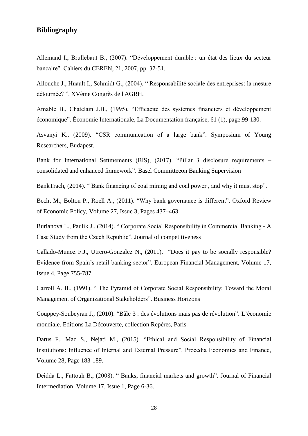# **Bibliography**

Allemand I., Brullebaut B., (2007). "Développement durable : un état des lieux du secteur bancaire". Cahiers du CEREN, 21, 2007, pp. 32-51.

Allouche J., Huault I., Schmidt G., (2004). " Responsabilité sociale des entreprises: la mesure détournée? ". XVème Congrès de l'AGRH.

Amable B., Chatelain J.B., (1995). "Efficacité des systèmes financiers et développement économique". Économie Internationale, La Documentation française, 61 (1), page.99-130.

Asvanyi K., (2009). "CSR communication of a large bank". Symposium of Young Researchers, Budapest.

Bank for International Settmements (BIS), (2017). "Pillar 3 disclosure requirements – consolidated and enhanced framework". Basel Committeeon Banking Supervision

BankTrach, (2014). " Bank financing of coal mining and coal power , and why it must stop".

Becht M., Bolton P., Roell A., (2011). "Why bank governance is different". Oxford Review of Economic Policy, Volume 27, Issue 3, Pages 437–463

Burianová L., Paulík J., (2014). " Corporate Social Responsibility in Commercial Banking - A Case Study from the Czech Republic". Journal of competitiveness

Callado-Munoz F.J., Utrero-Gonzalez N., (2011). "Does it pay to be socially responsible? Evidence from Spain's retail banking sector". European Financial Management, Volume 17, Issue 4, Page 755-787.

Carroll A. B., (1991). " The Pyramid of Corporate Social Responsibility: Toward the Moral Management of Organizational Stakeholders". Business Horizons

Couppey-Soubeyran J., (2010). "Bâle 3 : des évolutions mais pas de révolution". L'économie mondiale. Editions La Découverte, collection Repères, Paris.

Darus F., Mad S., Nejati M., (2015). "Ethical and Social Responsibility of Financial Institutions: Influence of Internal and External Pressure". Procedia Economics and Finance, Volume 28, Page 183-189.

Deidda L., Fattouh B., (2008). " Banks, financial markets and growth". Journal of Financial Intermediation, Volume 17, Issue 1, Page 6-36.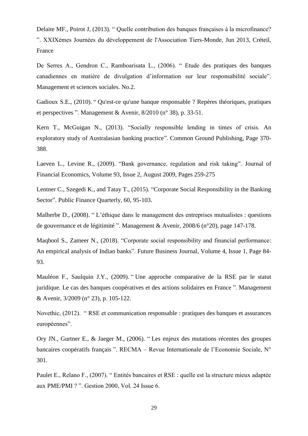Delaite MF., Poirot J, (2013). " Quelle contribution des banques françaises à la microfinance? ". XXIXèmes Journées du développement de l'Association Tiers-Monde, Jun 2013, Créteil, France

De Serres A., Gendron C., Ramboarisata L., (2006). " Etude des pratiques des banques canadiennes en matière de divulgation d'information sur leur responsabilité sociale". Management et sciences sociales. No.2.

Gadioux S.E., (2010). " Qu'est-ce qu'une banque responsable ? Repères théoriques, pratiques et perspectives ". Management & Avenir, 8/2010 (n° 38), p. 33-51.

Kern T., McGuigan N., (2013). "Socially responsible lending in times of crisis. An exploratory study of Australasian banking practice". [Common Ground Publishing,](https://researchers.mq.edu.au/en/publications/socially-responsible-lending-in-times-of-crisis-an-exploratory-st-2) Page 370- 388.

Laeven L., Levine R., (2009). "Bank governance, regulation and risk taking". [Journal of](https://www.sciencedirect.com/science/journal/0304405X)  [Financial Economics,](https://www.sciencedirect.com/science/journal/0304405X) [Volume 93, Issue 2,](https://www.sciencedirect.com/science/journal/0304405X/93/2) August 2009, Pages 259-275

Lentner C., Szegedi K., and Tatay T., (2015). "Corporate Social Responsibility in the Banking Sector". Public Finance Quarterly, 60, 95-103.

Malherbe D., (2008). " L'éthique dans le management des entreprises mutualistes : questions de gouvernance et de légitimité ". Management & Avenir, 2008/6 (n°20), page 147-178.

Maqbool S., Zameer N., (2018). "Corporate social responsibility and financial performance: An empirical analysis of Indian banks". Future Business Journal, Volume 4, Issue 1, Page 84- 93.

Mauléon F., Saulquin J.Y., (2009). " Une approche comparative de la RSE par le statut juridique. Le cas des banques coopératives et des actions solidaires en France ". Management & Avenir, 3/2009 (n° 23), p. 105-122.

Novethic, (2012). " RSE et communication responsable : pratiques des banques et assurances européennes".

Ory JN., Gurtner E., & Jaeger M., (2006). " Les enjeux des mutations récentes des groupes bancaires coopératifs français ". RECMA – Revue Internationale de l'Economie Sociale, N° 301.

Paulet E., Relano F., (2007). " Entités bancaires et RSE : quelle est la structure mieux adaptée aux PME/PMI ? ". Gestion 2000, Vol. 24 Issue 6.